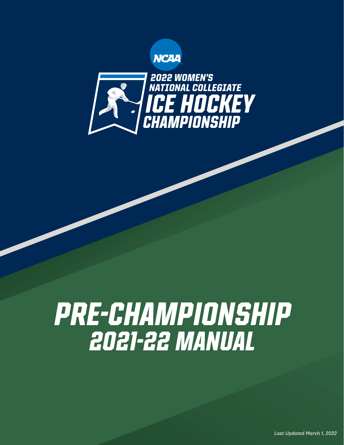



# *PRE-CHAMPIONSHIP 2021-22 MANUAL*

*Last Updated March 1, 2022*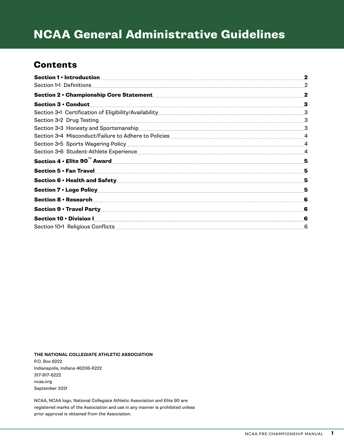## NCAA General Administrative Guidelines

### **Contents**

|                                                                                                                                                                                                                                          | $\mathbf{2}$   |
|------------------------------------------------------------------------------------------------------------------------------------------------------------------------------------------------------------------------------------------|----------------|
| Section 1.1 Definitions                                                                                                                                                                                                                  | $\overline{2}$ |
| <b>Section 2 • Championship Core Statement</b>                                                                                                                                                                                           | $\mathbf 2$    |
| <b>Section 3 • Conduct</b>                                                                                                                                                                                                               | 3              |
|                                                                                                                                                                                                                                          | 3              |
| Section 3.2 Drug Testing                                                                                                                                                                                                                 | 3              |
| Section 3.3 Honesty and Sportsmanship<br>Section 3.3 Honesty and Sportsmanship<br>Section 3.3 Honesty and Sportsmanship<br>Section 3.3 Honesty and Sportsmanship<br>Section 3.3 Honesty and Sportsmanship<br>Section 3.3 Honesty and Spo | 3              |
| Section 3.4 Misconduct/Failure to Adhere to Policies <b>Section 3.4 Misconduct</b>                                                                                                                                                       | $\overline{4}$ |
| Section 3-5 Sports Wagering Policy Manual Community Control of Section 3-5 Sports Wagering Policy                                                                                                                                        | $\overline{4}$ |
|                                                                                                                                                                                                                                          | $\overline{4}$ |
| Section 4 . Elite 90 <sup>"</sup> Award<br>Section 4 . Elite 90 <sup>"</sup> Award                                                                                                                                                       | 5              |
| Section 5 . Fan Travel                                                                                                                                                                                                                   | 5              |
| Section 6 . Health and Safety <b>Section</b> 6.                                                                                                                                                                                          | 5              |
| Section 7 . Logo Policy <b>Executive Section</b>                                                                                                                                                                                         | 5              |
| Section 8 · Research                                                                                                                                                                                                                     | 6              |
| Section 9 . Travel Party                                                                                                                                                                                                                 | 6              |
| Section 10 . Division I                                                                                                                                                                                                                  | 6              |
|                                                                                                                                                                                                                                          | 6              |

**THE NATIONAL COLLEGIATE ATHLETIC ASSOCIATION** P.O. Box 6222 Indianapolis, Indiana 46206-6222 317-917-6222 ncaa.org September 2021

NCAA, NCAA logo, National Collegiate Athletic Association and Elite 90 are registered marks of the Association and use in any manner is prohibited unless prior approval is obtained from the Association.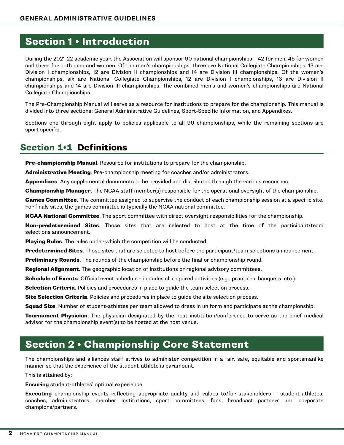### <span id="page-2-0"></span>Section 1 • Introduction

During the 2021-22 academic year, the Association will sponsor 90 national championships – 42 for men, 45 for women and three for both men and women. Of the men's championships, three are National Collegiate Championships, 13 are Division I championships, 12 are Division II championships and 14 are Division III championships. Of the women's championships, six are National Collegiate Championships, 12 are Division I championships, 13 are Division II championships and 14 are Division III championships. The combined men's and women's championships are National Collegiate Championships.

The Pre-Championship Manual will serve as a resource for institutions to prepare for the championship. This manual is divided into three sections: General Administrative Guidelines, Sport-Specific Information, and Appendixes.

Sections one through eight apply to policies applicable to all 90 championships, while the remaining sections are sport specific.

### Section 1•1 Definitions

**Pre-championship Manual.** Resource for institutions to prepare for the championship.

Administrative Meeting. Pre-championship meeting for coaches and/or administrators.

Appendixes. Any supplemental documents to be provided and distributed through the various resources.

**Championship Manager**. The NCAA staff member(s) responsible for the operational oversight of the championship.

Games Committee. The committee assigned to supervise the conduct of each championship session at a specific site. For finals sites, the games committee is typically the NCAA national committee.

NCAA National Committee. The sport committee with direct oversight responsibilities for the championship.

Non-predetermined Sites. Those sites that are selected to host at the time of the participant/team selections announcement.

Playing Rules. The rules under which the competition will be conducted.

Predetermined Sites. Those sites that are selected to host before the participant/team selections announcement.

**Preliminary Rounds.** The rounds of the championship before the final or championship round.

**Regional Alignment**. The geographic location of institutions or regional advisory committees.

Schedule of Events. Official event schedule - includes all required activities (e.g., practices, banquets, etc.).

Selection Criteria. Policies and procedures in place to quide the team selection process.

Site Selection Criteria. Policies and procedures in place to guide the site selection process.

Squad Size. Number of student-athletes per team allowed to dress in uniform and participate at the championship.

Tournament Physician. The physician designated by the host institution/conference to serve as the chief medical advisor for the championship event(s) to be hosted at the host venue.

### Section 2 • Championship Core Statement

The championships and alliances staff strives to administer competition in a fair, safe, equitable and sportsmanlike manner so that the experience of the student-athlete is paramount.

This is attained by:

**Ensuring** student-athletes' optimal experience.

**Executing** championship events reflecting appropriate quality and values to/for stakeholders — student-athletes, coaches, administrators, member institutions, sport committees, fans, broadcast partners and corporate champions/partners.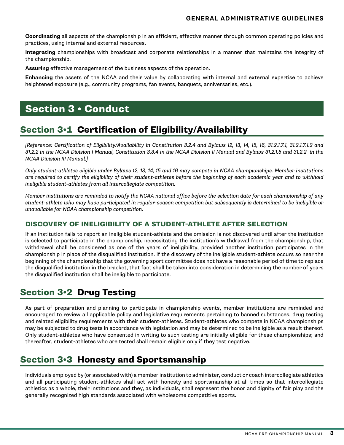<span id="page-3-0"></span>**Coordinating** all aspects of the championship in an efficient, effective manner through common operating policies and practices, using internal and external resources.

**Integrating** championships with broadcast and corporate relationships in a manner that maintains the integrity of the championship.

**Assuring** effective management of the business aspects of the operation.

**Enhancing** the assets of the NCAA and their value by collaborating with internal and external expertise to achieve heightened exposure (e.g., community programs, fan events, banquets, anniversaries, etc.).

### Section 3 • Conduct

### Section 3•1 Certification of Eligibility/Availability

*[Reference: Certification of Eligibility/Availability in Constitution 3.2.4 and Bylaws 12, 13, 14, 15, 16, 31.2.1.7.1, 31.2.1.7.1.2 and 31.2.2 in the NCAA Division I Manual, Constitution 3.3.4 in the NCAA Division II Manual and Bylaws 31.2.1.5 and 31.2.2 in the NCAA Division III Manual.]*

*Only student-athletes eligible under Bylaws 12, 13, 14, 15 and 16 may compete in NCAA championships. Member institutions are required to certify the eligibility of their student-athletes before the beginning of each academic year and to withhold ineligible student-athletes from all intercollegiate competition.*

*Member institutions are reminded to notify the NCAA national office before the selection date for each championship of any student-athlete who may have participated in regular-season competition but subsequently is determined to be ineligible or unavailable for NCAA championship competition.*

#### DISCOVERY OF INELIGIBILITY OF A STUDENT-ATHLETE AFTER SELECTION

If an institution fails to report an ineligible student-athlete and the omission is not discovered until after the institution is selected to participate in the championship, necessitating the institution's withdrawal from the championship, that withdrawal shall be considered as one of the years of ineligibility, provided another institution participates in the championship in place of the disqualified institution. If the discovery of the ineligible student-athlete occurs so near the beginning of the championship that the governing sport committee does not have a reasonable period of time to replace the disqualified institution in the bracket, that fact shall be taken into consideration in determining the number of years the disqualified institution shall be ineligible to participate.

### Section 3•2 Drug Testing

As part of preparation and planning to participate in championship events, member institutions are reminded and encouraged to review all applicable policy and legislative requirements pertaining to banned substances, drug testing and related eligibility requirements with their student-athletes. Student-athletes who compete in NCAA championships may be subjected to drug tests in accordance with legislation and may be determined to be ineligible as a result thereof. Only student-athletes who have consented in writing to such testing are initially eligible for these championships; and thereafter, student-athletes who are tested shall remain eligible only if they test negative.

### Section 3•3 Honesty and Sportsmanship

Individuals employed by (or associated with) a member institution to administer, conduct or coach intercollegiate athletics and all participating student-athletes shall act with honesty and sportsmanship at all times so that intercollegiate athletics as a whole, their institutions and they, as individuals, shall represent the honor and dignity of fair play and the generally recognized high standards associated with wholesome competitive sports.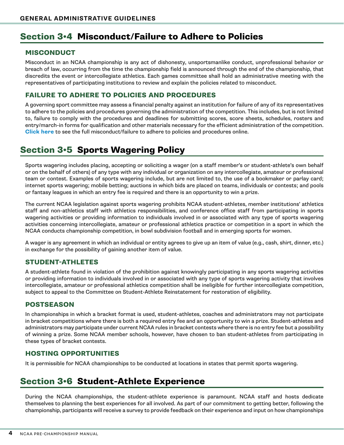### <span id="page-4-0"></span>Section 3•4 Misconduct/Failure to Adhere to Policies

#### MISCONDUCT

Misconduct in an NCAA championship is any act of dishonesty, unsportsmanlike conduct, unprofessional behavior or breach of law, occurring from the time the championship field is announced through the end of the championship, that discredits the event or intercollegiate athletics. Each games committee shall hold an administrative meeting with the representatives of participating institutions to review and explain the policies related to misconduct.

#### FAILURE TO ADHERE TO POLICIES AND PROCEDURES

A governing sport committee may assess a financial penalty against an institution for failure of any of its representatives to adhere to the policies and procedures governing the administration of the competition. This includes, but is not limited to, failure to comply with the procedures and deadlines for submitting scores, score sheets, schedules, rosters and entry/march-in forms for qualification and other materials necessary for the efficient administration of the competition. **[Click here](https://ncaaorg.s3.amazonaws.com/championships/resources/common/NCAAChamp_FailuretoAdherePoliciesandProcedures.pdf)** to see the full misconduct/failure to adhere to policies and procedures online.

### Section 3•5 Sports Wagering Policy

Sports wagering includes placing, accepting or soliciting a wager (on a staff member's or student-athlete's own behalf or on the behalf of others) of any type with any individual or organization on any intercollegiate, amateur or professional team or contest. Examples of sports wagering include, but are not limited to, the use of a bookmaker or parlay card; internet sports wagering; mobile betting; auctions in which bids are placed on teams, individuals or contests; and pools or fantasy leagues in which an entry fee is required and there is an opportunity to win a prize.

The current NCAA legislation against sports wagering prohibits NCAA student-athletes, member institutions' athletics staff and non-athletics staff with athletics responsibilities, and conference office staff from participating in sports wagering activities or providing information to individuals involved in or associated with any type of sports wagering activities concerning intercollegiate, amateur or professional athletics practice or competition in a sport in which the NCAA conducts championship competition, in bowl subdivision football and in emerging sports for women.

A wager is any agreement in which an individual or entity agrees to give up an item of value (e.g., cash, shirt, dinner, etc.) in exchange for the possibility of gaining another item of value.

### STUDENT-ATHLETES

A student-athlete found in violation of the prohibition against knowingly participating in any sports wagering activities or providing information to individuals involved in or associated with any type of sports wagering activity that involves intercollegiate, amateur or professional athletics competition shall be ineligible for further intercollegiate competition, subject to appeal to the Committee on Student-Athlete Reinstatement for restoration of eligibility.

#### POSTSEASON

In championships in which a bracket format is used, student-athletes, coaches and administrators may not participate in bracket competitions where there is both a required entry fee and an opportunity to win a prize. Student-athletes and administrators may participate under current NCAA rules in bracket contests where there is no entry fee but a possibility of winning a prize. Some NCAA member schools, however, have chosen to ban student-athletes from participating in these types of bracket contests.

#### HOSTING OPPORTUNITIES

It is permissible for NCAA championships to be conducted at locations in states that permit sports wagering.

### Section 3•6 Student-Athlete Experience

During the NCAA championships, the student-athlete experience is paramount. NCAA staff and hosts dedicate themselves to planning the best experiences for all involved. As part of our commitment to getting better, following the championship, participants will receive a survey to provide feedback on their experience and input on how championships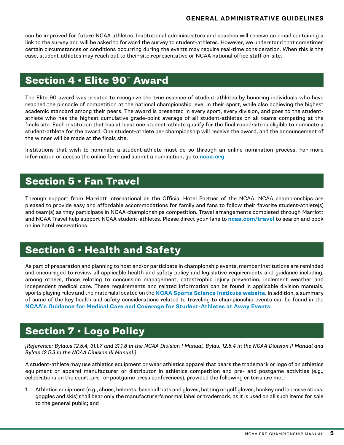<span id="page-5-0"></span>can be improved for future NCAA athletes. Institutional administrators and coaches will receive an email containing a link to the survey and will be asked to forward the survey to student-athletes. However, we understand that sometimes certain circumstances or conditions occurring during the events may require real-time consideration. When this is the case, student-athletes may reach out to their site representative or NCAA national office staff on-site.

### Section 4 • Elite 90™ Award

The Elite 90 award was created to recognize the true essence of student-athletes by honoring individuals who have reached the pinnacle of competition at the national championship level in their sport, while also achieving the highest academic standard among their peers. The award is presented in ev[ery sport, e](http://ncaa.org)very division, and goes to the studentathlete who has the highest cumulative grade-point average of all student-athletes on all teams competing at the finals site. Each institution that has at least one student-athlete qualify for the final round/site is eligible to nominate a student-athlete for the award. One student-athlete per championship will receive the award, and the announcement of the winner will be made at the finals site.

Institutions that wish to nominate a student-athlete must do so through an online nomination process. For more information or access the online form and submit a nomination, go to **ncaa.org**.

### Section 5 • Fan Travel

Through support from Marriott International as the Official Hotel Partner of the NCAA, NCAA championships are pleased to provide easy and affordable accommodations for family and fans to follow their favorite student-athlete(s) and team(s) as they participate in NCAA championships competition. Travel arrangements completed through Marriott and NCAA Travel help support NCAA student-athletes. Please direct your fans to **ncaa.com/travel** to search and book online hotel reservations.

### Section 6 • Health and S[afety](https://www.ncaa.org/sport-science-institute)

[As part of preparation and planning to host and/or participate in championship events, member inst](https://ncaaorg.s3.amazonaws.com/ssi/imc/SSI_IMCGuidanceforStudentAthletesatAwayEvents.pdf)itutions are reminded and encouraged to review all applicable health and safety policy and legislative requirements and guidance including, among others, those relating to concussion management, catastrophic injury prevention, inclement weather and independent medical care. These requirements and related information can be found in applicable division manuals, sports playing rules and the materials located on the **NCAA Sports Science Institute website**. In addition, a summary of some of the key health and safety considerations related to traveling to championship events can be found in the **NCAA's Guidance for Medical Care and Coverage for Student-Athletes at Away Events**.

### Section 7 • Logo Policy

*[Reference: Bylaws 12.5.4, 31.1.7 and 31.1.8 in the NCAA Division I Manual, Bylaw 12.5.4 in the NCAA Division II Manual and Bylaw 12.5.3 in the NCAA Division III Manual.]*

A student-athlete may use athletics equipment or wear athletics apparel that bears the trademark or logo of an athletics equipment or apparel manufacturer or distributor in athletics competition and pre- and postgame activities (e.g., celebrations on the court, pre- or postgame press conferences), provided the following criteria are met:

1. Athletics equipment (e.g., shoes, helmets, baseball bats and gloves, batting or golf gloves, hockey and lacrosse sticks, goggles and skis) shall bear only the manufacturer's normal label or trademark, as it is used on all such items for sale to the general public; and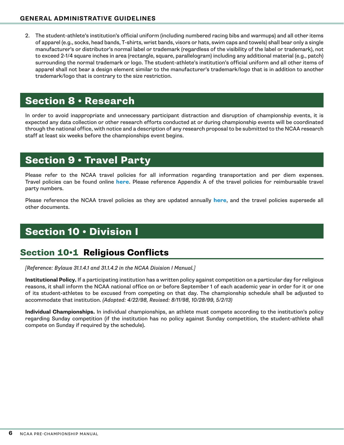<span id="page-6-0"></span>2. The student-athlete's institution's official uniform (including numbered racing bibs and warmups) and all other items of apparel (e.g., socks, head bands, T-shirts, wrist bands, visors or hats, swim caps and towels) shall bear only a single manufacturer's or distributor's normal label or trademark (regardless of the visibility of the label or trademark), not to exceed 2-1/4 square inches in area (rectangle, square, parallelogram) including any additional material (e.g., patch) surrounding the normal trademark or logo. The student-athlete's institution's official uniform and all other items of apparel shall not bear a design element similar to the manufacturer's trademark/logo that is in addition to another trademark/logo that is contrary to the size restriction.

### Section 8 • Research

In order to avoid inappropriate and unnecessary participant distraction and disruption of championship events, it is expected any data collection or oth[er rese](http://www.ncaa.org/championships/travel/championships-travel-information?division=d1)arch efforts conducted at or during championship events will be coordinated through the national office, with notice and a description of any research proposal to be submitted to the NCAA research staff at least six weeks before the championships event begins.

### Section 9 • Travel Party

Please refer to the NCAA travel policies for all information regarding transportation and per diem expenses. Travel policies can be found online **here**. Please reference Appendix A of the travel policies for reimbursable travel party numbers.

Please reference the NCAA travel policies as they are updated annually **here**, and the travel policies supersede all other documents.

### Section 10 • Division I

### Section 10•1 Religious Conflicts

*[Reference: Bylaws 31.1.4.1 and 31.1.4.2 in the NCAA Division I Manual.]*

**Institutional Policy.** If a participating institution has a written policy against competition on a particular day for religious reasons, it shall inform the NCAA national office on or before September 1 of each academic year in order for it or one of its student-athletes to be excused from competing on that day. The championship schedule shall be adjusted to accommodate that institution. *(Adopted: 4/22/98, Revised: 8/11/98, 10/28/99, 5/2/13)*

**Individual Championships.** In individual championships, an athlete must compete according to the institution's policy regarding Sunday competition (if the institution has no policy against Sunday competition, the student-athlete shall compete on Sunday if required by the schedule).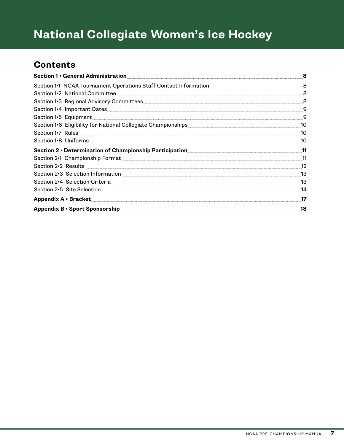# **National Collegiate Women's Ice Hockey**

### **Contents**

| Section 1 · General Administration Section 1 · General Administration                                                                                                                                                                | 8  |
|--------------------------------------------------------------------------------------------------------------------------------------------------------------------------------------------------------------------------------------|----|
| Section 1•1 NCAA Tournament Operations Staff Contact Information [1986] The MCAA Tournament Operations Staff Contact Information                                                                                                     | 8  |
| Section 1.2 National Committee <b>Communities</b>                                                                                                                                                                                    | 8  |
|                                                                                                                                                                                                                                      | 8  |
|                                                                                                                                                                                                                                      | 9  |
|                                                                                                                                                                                                                                      | 9  |
| Section 1.6 Eligibility for National Collegiate Championships<br>Section 1.6 Eligibility for National Collegiate Championships<br>Section 1.6 Eligibility for National Collegiate Championships<br>Section 1.6 Eligibility for Natio | 10 |
|                                                                                                                                                                                                                                      | 10 |
|                                                                                                                                                                                                                                      | 10 |
| Section 2 • Determination of Championship Participation 11                                                                                                                                                                           |    |
|                                                                                                                                                                                                                                      | 11 |
|                                                                                                                                                                                                                                      | 12 |
|                                                                                                                                                                                                                                      | 13 |
|                                                                                                                                                                                                                                      | 13 |
|                                                                                                                                                                                                                                      | 14 |
| Appendix A · Bracket                                                                                                                                                                                                                 | 17 |
| Appendix B · Sport Sponsorship Superintendent Sponsorship Superintendent Superintendent Sponsorship                                                                                                                                  | 18 |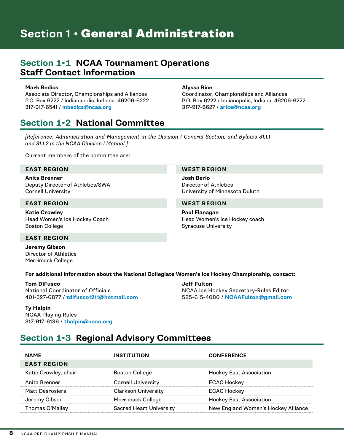# <span id="page-8-0"></span>**Section 1 • General Administration**

### **Section 1•1 NCAA Tournament Operations Staff Contact Information**

#### **Mark Bedics**

Associate Director, Championships and Alliances P.O. Box 6222 / Indianapolis, Indiana 46206-6222 317-917-6541 / **[mbedics@ncaa.org](mailto:mbedics%40ncaa.org?subject=)**

#### **Alyssa Rice**

**Josh Berlo**

**Paul Flanagan** 

Syracuse University

Director of Athletics

University of Minnesota Duluth

Head Women's Ice Hockey coach

Coordinator, Championships and Alliances P.O. Box 6222 / Indianapolis, Indiana 46206-6222 317-917-6627 / **[arice@ncaa.org](mailto:arice%40ncaa.org?subject=)**

### **Section 1•2 National Committee**

*[Reference: Administration and Management in the Division I General Section, and Bylaws 31.1.1 and 31.1.2 in the NCAA Division I Manual.]*

Current members of the committee are:

#### **EAST REGION WEST REGION**

**Anita Brenner** Deputy Director of Athletics/SWA Cornell University

#### **EAST REGION WEST REGION**

**Katie Crowley** Head Women's Ice Hockey Coach Boston College

#### **EAST REGION**

**Jeremy Gibson** Director of Athletics Merrimack College

#### **For additional information about the National Collegiate Women's Ice Hockey Championship, contact:**

**Tom DiFusco** National Coordinator of Officials 401-527-6877 / **[tdifusco1211@hotmail.com](mailto:tdifusco1211%40hotmail.com?subject=)**

**Jeff Fulton** NCAA Ice Hockey Secretary-Rules Editor 585-615-4080 / **[NCAAFulton@gmail.com](mailto:NCAAFulton%40gmail.com?subject=)**

### **Ty Halpin**

NCAA Playing Rules 317-917-6136 / **[thalpin@ncaa.org](mailto:thalpin%40ncaa.org?subject=)**

### **Section 1•3 Regional Advisory Committees**

| <b>NAME</b>          | <b>INSTITUTION</b>             | <b>CONFERENCE</b>                   |
|----------------------|--------------------------------|-------------------------------------|
| <b>EAST REGION</b>   |                                |                                     |
| Katie Crowley, chair | <b>Boston College</b>          | <b>Hockey East Association</b>      |
| Anita Brenner        | <b>Cornell University</b>      | <b>ECAC Hockey</b>                  |
| Matt Desrosiers      | <b>Clarkson University</b>     | <b>ECAC Hockey</b>                  |
| Jeremy Gibson        | Merrimack College              | <b>Hockey East Association</b>      |
| Thomas O'Malley      | <b>Sacred Heart University</b> | New England Women's Hockey Alliance |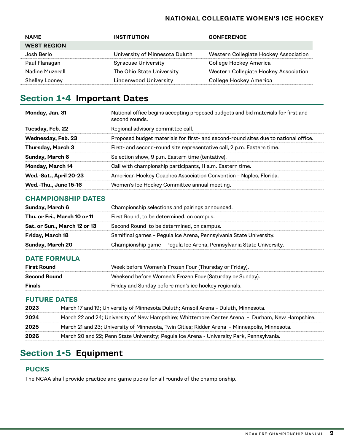#### **NATIONAL COLLEGIATE WOMEN'S ICE HOCKEY**

<span id="page-9-0"></span>

| <b>NAME</b>           | <b>INSTITUTION</b>             | <b>CONFERENCE</b>                     |
|-----------------------|--------------------------------|---------------------------------------|
| <b>WEST REGION</b>    |                                |                                       |
| Josh Berlo            | University of Minnesota Duluth | Western Collegiate Hockey Association |
| Paul Flanagan         | <b>Syracuse University</b>     | College Hockey America                |
| Nadine Muzerall       | The Ohio State University      | Western Collegiate Hockey Association |
| <b>Shelley Looney</b> | Lindenwood University          | College Hockey America                |

### **Section 1•4 Important Dates**

| Monday, Jan. 31              | National office begins accepting proposed budgets and bid materials for first and<br>second rounds. |
|------------------------------|-----------------------------------------------------------------------------------------------------|
| Tuesday, Feb. 22             | Regional advisory committee call.                                                                   |
| Wednesday, Feb. 23           | Proposed budget materials for first- and second-round sites due to national office.                 |
| <b>Thursday, March 3</b>     | First- and second-round site representative call, 2 p.m. Eastern time.                              |
| Sunday, March 6              | Selection show, 9 p.m. Eastern time (tentative).                                                    |
| Monday, March 14             | Call with championship participants, 11 a.m. Eastern time.                                          |
| Wed.-Sat., April 20-23       | American Hockey Coaches Association Convention - Naples, Florida.                                   |
| <b>Wed.-Thu., June 15-16</b> | Women's Ice Hockey Committee annual meeting.                                                        |

### **CHAMPIONSHIP DATES**

| Sunday, March 6              | Championship selections and pairings announced.                      |
|------------------------------|----------------------------------------------------------------------|
| Thu. or Fri., March 10 or 11 | First Round, to be determined, on campus.                            |
| Sat. or Sun., March 12 or 13 | Second Round to be determined, on campus.                            |
| Friday, March 18             | Semifinal games - Pegula Ice Arena, Pennsylvania State University.   |
| <b>Sunday, March 20</b>      | Championship game - Pegula Ice Arena, Pennsylvania State University. |

### **DATE FORMULA**

| <b>First Round</b>  | Week before Women's Frozen Four (Thursday or Friday).    |
|---------------------|----------------------------------------------------------|
| <b>Second Round</b> | Weekend before Women's Frozen Four (Saturday or Sunday). |
| Finals              | Friday and Sunday before men's ice hockey regionals.     |

### **FUTURE DATES**

| 2023 | March 17 and 19; University of Minnesota Duluth; Amsoil Arena - Duluth, Minnesota.             |
|------|------------------------------------------------------------------------------------------------|
| 2024 | March 22 and 24; University of New Hampshire; Whittemore Center Arena - Durham, New Hampshire. |
| 2025 | March 21 and 23; University of Minnesota, Twin Cities; Ridder Arena - Minneapolis, Minnesota.  |
| 2026 | March 20 and 22; Penn State University; Pegula Ice Arena - University Park, Pennsylvania.      |
|      |                                                                                                |

### **Section 1•5 Equipment**

### **PUCKS**

The NCAA shall provide practice and game pucks for all rounds of the championship.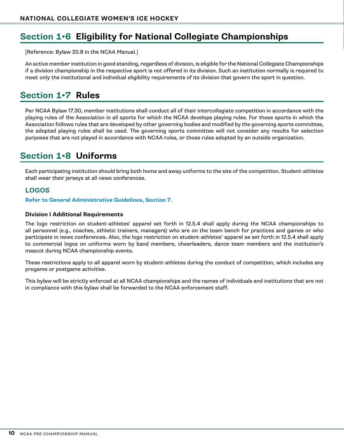### <span id="page-10-0"></span>**Section 1•6 Eligibility for National Collegiate Championships**

[Reference: Bylaw 20.8 in the NCAA Manual.]

An active member institution in good standing, regardless of division, is eligible for the National Collegiate Championships if a division championship in the respective sport is not offered in its division. Such an institution normally is required to meet only the institutional and individual eligibility requirements of its division that govern the sport in question.

### **Section 1•7 Rules**

Per NCAA Bylaw 17.30, member institutions shall conduct all of their intercollegiate competition in accordance with the playing rules of the Association in all sports for which the NCAA develops playing rules. For those sports in which the Association follows rules that are developed by other governing bodies and modified by the governing sports committee, the adopted playing rules shall be used. The governing sports committee will not consider any results for selection purposes that are not played in accordance with NCAA rules, or those rules adopted by an outside organization.

### **Section 1•8 Uniforms**

Each participating institution should bring both home and away uniforms to the site of the competition. Student-athletes shall wear their jerseys at all news conferences.

### **LOGOS**

**[Refer to General Administrative Guidelines, Section 7.](#page-5-0)**

#### **Division I Additional Requirements**

The logo restriction on student-athletes' apparel set forth in 12.5.4 shall apply during the NCAA championships to all personnel (e.g., coaches, athletic trainers, managers) who are on the team bench for practices and games or who participate in news conferences. Also, the logo restriction on student-athletes' apparel as set forth in 12.5.4 shall apply to commercial logos on uniforms worn by band members, cheerleaders, dance team members and the institution's mascot during NCAA championship events.

These restrictions apply to all apparel worn by student-athletes during the conduct of competition, which includes any pregame or postgame activities.

This bylaw will be strictly enforced at all NCAA championships and the names of individuals and institutions that are not in compliance with this bylaw shall be forwarded to the NCAA enforcement staff.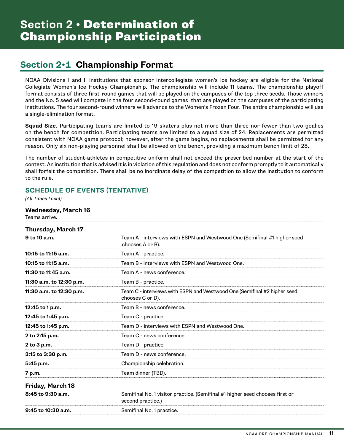### <span id="page-11-0"></span>**Section 2•1 Championship Format**

NCAA Divisions I and II institutions that sponsor intercollegiate women's ice hockey are eligible for the National Collegiate Women's Ice Hockey Championship. The championship will include 11 teams. The championship playoff format consists of three first-round games that will be played on the campuses of the top three seeds. Those winners and the No. 5 seed will compete in the four second-round games that are played on the campuses of the participating institutions. The four second-round winners will advance to the Women's Frozen Four. The entire championship will use a single-elimination format.

**Squad Size.** Participating teams are limited to 19 skaters plus not more than three nor fewer than two goalies on the bench for competition. Participating teams are limited to a squad size of 24. Replacements are permitted consistent with NCAA game protocol; however, after the game begins, no replacements shall be permitted for any reason. Only six non-playing personnel shall be allowed on the bench, providing a maximum bench limit of 28.

The number of student-athletes in competitive uniform shall not exceed the prescribed number at the start of the contest. An institution that is advised it is in violation of this regulation and does not conform promptly to it automatically shall forfeit the competition. There shall be no inordinate delay of the competition to allow the institution to conform to the rule.

### **SCHEDULE OF EVENTS (TENTATIVE)**

*(All Times Local)*

#### **Wednesday, March 16**

Teams arrive.

| <b>Thursday, March 17</b> |                                                                                                   |
|---------------------------|---------------------------------------------------------------------------------------------------|
| $9$ to 10 a.m.            | Team A - interviews with ESPN and Westwood One (Semifinal #1 higher seed<br>chooses A or B).      |
| 10:15 to 11:15 a.m.       | Team A - practice.                                                                                |
| 10:15 to 11:15 a.m.       | Team B - interviews with ESPN and Westwood One.                                                   |
| 11:30 to $11:45$ a.m.     | Team A - news conference.                                                                         |
| 11:30 a.m. to 12:30 p.m.  | Team B - practice.                                                                                |
| 11:30 a.m. to 12:30 p.m.  | Team C - interviews with ESPN and Westwood One (Semifinal #2 higher seed<br>chooses C or D).      |
| 12:45 to 1 p.m.           | Team B - news conference.                                                                         |
| 12:45 to 1:45 p.m.        | Team C - practice.                                                                                |
| 12:45 to 1:45 p.m.        | Team D - interviews with ESPN and Westwood One.                                                   |
| 2 to 2:15 p.m.            | Team C - news conference.                                                                         |
| 2 to 3 p.m.               | Team D - practice.                                                                                |
| 3:15 to 3:30 p.m.         | Team D - news conference.                                                                         |
| 5:45 p.m.                 | Championship celebration.                                                                         |
| 7 p.m.                    | Team dinner (TBD).                                                                                |
| Friday, March 18          |                                                                                                   |
| 8:45 to 9:30 a.m.         | Semifinal No. 1 visitor practice. (Semifinal #1 higher seed chooses first or<br>second practice.) |
| 9:45 to 10:30 a.m.        | Semifinal No. 1 practice.                                                                         |
|                           |                                                                                                   |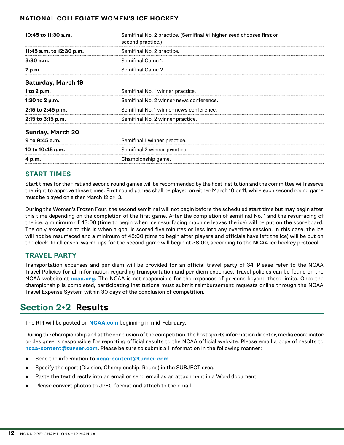#### <span id="page-12-0"></span>**NATIONAL COLLEGIATE WOMEN'S ICE HOCKEY**

| 10:45 to 11:30 a.m.       | Semifinal No. 2 practice. (Semifinal #1 higher seed chooses first or<br>second practice.) |
|---------------------------|-------------------------------------------------------------------------------------------|
| 11:45 a.m. to 12:30 p.m.  | Semifinal No. 2 practice.                                                                 |
| 3:30 p.m.                 | Semifinal Game 1.                                                                         |
| 7 p.m.                    | Semifinal Game 2.                                                                         |
| <b>Saturday, March 19</b> |                                                                                           |
| 1 to 2 p.m.               | Semifinal No. 1 winner practice.                                                          |
| 1:30 to 2 p.m.            | Semifinal No. 2 winner news conference.                                                   |
| 2:15 to 2:45 p.m.         | Semifinal No. 1 winner news conference.                                                   |
| 2:15 to 3:15 p.m.         | Semifinal No. 2 winner practice.                                                          |
| <b>Sunday, March 20</b>   |                                                                                           |
| 9 to 9:45 a.m.            | Semifinal 1 winner practice.                                                              |
| 10 to 10:45 a.m.          | Semifinal 2 winner practice.                                                              |
| 4 p.m.                    | Championship game.                                                                        |

### **START TIMES**

Start times for the first and second round games will be recommended by the host institution and the committee will reserve the right to approve these times. First round games shall be played on either March 10 or 11, while each second round game must be played on either March 12 or 13.

During the Women's Frozen Four, the second semifinal will not begin before the scheduled start time but may begin after this time depending on the completion of the first game. After the completion of semifinal No. 1 and the resurfacing of the ice, a minimum of 43:00 (time to begin when ice resurfacing machine leaves the ice) will be put on the scoreboard. The only exception to this is when a goal is scored five minutes or less into any overtime session. In this case, the ice will not be resurfaced and a minimum of 48:00 (time to begin after players and officials have left the ice) will be put on the clock. In all cases, warm-ups for the second game will begin at 38:00, according to the NCAA ice hockey protocol.

### **TRAVEL PARTY**

Transportation expenses and per diem will be provided for an official travel party of 34. Please refer to the NCAA Travel Policies for all information regarding transportation and per diem expenses. Travel policies can be found on the NCAA website at **[ncaa.org](http://www.ncaa.org/championships/travel/championships-travel-information).** The NCAA is not responsible for the expenses of persons beyond these limits. Once the championship is completed, participating institutions must submit reimbursement requests online through the NCAA Travel Expense System within 30 days of the conclusion of competition.

### **Section 2•2 Results**

The RPI will be posted on **[NCAA.com](http://NCAA.com)** beginning in mid-February.

During the championship and at the conclusion of the competition, the host sports information director, media coordinator or designee is responsible for reporting official results to the NCAA official website. Please email a copy of results to **[ncaa-content@turner.com](mailto:ncaacontent%40turner.com?subject=)**. Please be sure to submit all information in the following manner:

- Send the information to **[ncaa-content@turner.com](mailto:ncaa-content%40turner.com?subject=)**.
- Specify the sport (Division, Championship, Round) in the SUBJECT area.
- Paste the text directly into an email or send email as an attachment in a Word document.
- Please convert photos to JPEG format and attach to the email.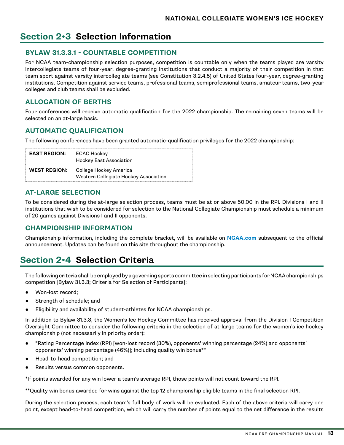### <span id="page-13-0"></span>**Section 2•3 Selection Information**

#### **BYLAW 31.3.3.1 - COUNTABLE COMPETITION**

For NCAA team-championship selection purposes, competition is countable only when the teams played are varsity intercollegiate teams of four-year, degree-granting institutions that conduct a majority of their competition in that team sport against varsity intercollegiate teams (see Constitution 3.2.4.5) of United States four-year, degree-granting institutions. Competition against service teams, professional teams, semiprofessional teams, amateur teams, two-year colleges and club teams shall be excluded.

### **ALLOCATION OF BERTHS**

Four conferences will receive automatic qualification for the 2022 championship. The remaining seven teams will be selected on an at-large basis.

### **AUTOMATIC QUALIFICATION**

The following conferences have been granted automatic-qualification privileges for the 2022 championship:

| <b>EAST REGION:</b> | ECAC Hockey<br><b>Hockey East Association</b>                                       |
|---------------------|-------------------------------------------------------------------------------------|
|                     | <b>WEST REGION:</b> College Hockey America<br>Western Collegiate Hockey Association |

### **AT-LARGE SELECTION**

To be considered during the at-large selection process, teams must be at or above 50.00 in the RPI. Divisions I and II institutions that wish to be considered for selection to the National Collegiate Championship must schedule a minimum of 20 games against Divisions I and II opponents.

### **CHAMPIONSHIP INFORMATION**

Championship information, including the complete bracket, will be available on **[NCAA.com](http://www.ncaa.com)** subsequent to the official announcement. Updates can be found on this site throughout the championship.

### **Section 2•4 Selection Criteria**

The following criteria shall be employed by a governing sports committee in selecting participants for NCAA championships competition [Bylaw 31.3.3; Criteria for Selection of Participants]:

- Won-lost record:
- Strength of schedule; and
- Eligibility and availability of student-athletes for NCAA championships.

In addition to Bylaw 31.3.3, the Women's Ice Hockey Committee has received approval from the Division I Competition Oversight Committee to consider the following criteria in the selection of at-large teams for the women's ice hockey championship (not necessarily in priority order):

- \*Rating Percentage Index (RPI) [won-lost record (30%), opponents' winning percentage (24%) and opponents' opponents' winning percentage (46%)]; including quality win bonus\*\*
- Head-to-head competition; and
- Results versus common opponents.

\*If points awarded for any win lower a team's average RPI, those points will not count toward the RPI.

\*\*Quality win bonus awarded for wins against the top 12 championship eligible teams in the final selection RPI.

During the selection process, each team's full body of work will be evaluated. Each of the above criteria will carry one point, except head-to-head competition, which will carry the number of points equal to the net difference in the results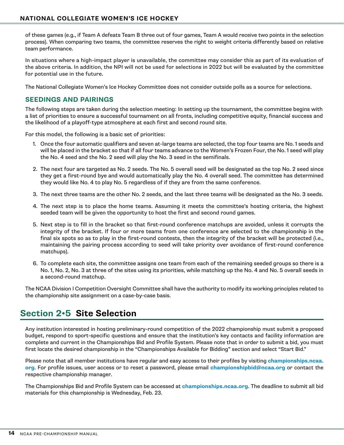<span id="page-14-0"></span>of these games (e.g., if Team A defeats Team B three out of four games, Team A would receive two points in the selection process). When comparing two teams, the committee reserves the right to weight criteria differently based on relative team performance.

In situations where a high-impact player is unavailable, the committee may consider this as part of its evaluation of the above criteria. In addition, the NPI will not be used for selections in 2022 but will be evaluated by the committee for potential use in the future.

The National Collegiate Women's Ice Hockey Committee does not consider outside polls as a source for selections.

#### **SEEDINGS AND PAIRINGS**

The following steps are taken during the selection meeting: In setting up the tournament, the committee begins with a list of priorities to ensure a successful tournament on all fronts, including competitive equity, financial success and the likelihood of a playoff-type atmosphere at each first and second round site.

For this model, the following is a basic set of priorities:

- 1. Once the four automatic qualifiers and seven at-large teams are selected, the top four teams are No. 1 seeds and will be placed in the bracket so that if all four teams advance to the Women's Frozen Four, the No. 1 seed will play the No. 4 seed and the No. 2 seed will play the No. 3 seed in the semifinals.
- 2. The next four are targeted as No. 2 seeds. The No. 5 overall seed will be designated as the top No. 2 seed since they get a first-round bye and would automatically play the No. 4 overall seed. The committee has determined they would like No. 4 to play No. 5 regardless of if they are from the same conference.
- 3. The next three teams are the other No. 2 seeds, and the last three teams will be designated as the No. 3 seeds.
- 4. The next step is to place the home teams. Assuming it meets the committee's hosting criteria, the highest seeded team will be given the opportunity to host the first and second round games.
- 5. Next step is to fill in the bracket so that first-round conference matchups are avoided, unless it corrupts the integrity of the bracket. If four or more teams from one conference are selected to the championship in the final six spots so as to play in the first-round contests, then the integrity of the bracket will be protected (i.e., maintaining the pairing process according to seed will take priority over avoidance of first-round conference matchups).
- 6. To complete each site, the committee assigns one team from each of the remaining seeded groups so there is a No. 1, No. 2, No. 3 at three of the sites using its priorities, while matching up the No. 4 and No. 5 overall seeds in a second-round matchup.

The NCAA Division I Competition Oversight Committee shall have the authority to modify its working principles related to the championship site assignment on a case-by-case basis.

### **Section 2•5 Site Selection**

Any institution interested in hosting preliminary-round competition of the 2022 championship must submit a proposed budget, respond to sport-specific questions and ensure that the institution's key contacts and facility information are complete and current in the Championships Bid and Profile System. Please note that in order to submit a bid, you must first locate the desired championship in the "Championships Available for Bidding" section and select "Start Bid."

Please note that all member institutions have regular and easy access to their profiles by visiting **[championships.ncaa.](http://championships.ncaa.org) [org](http://championships.ncaa.org)**. For profile issues, user access or to reset a password, please email **[championshipbid@ncaa.org](mailto:championshipbid%40ncaa.org?subject=)** or contact the respective championship manager.

The Championships Bid and Profile System can be accessed at **[championships.ncaa.org](https://champsauth.ncaa.org/login?service=https%3A%2F%2Fchampionships.ncaa.org%2F)**. The deadline to submit all bid materials for this championship is Wednesday, Feb. 23.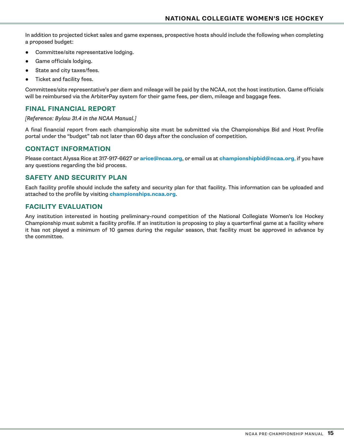In addition to projected ticket sales and game expenses, prospective hosts should include the following when completing a proposed budget:

- Committee/site representative lodging.
- Game officials lodging.
- State and city taxes/fees.
- Ticket and facility fees.

Committees/site representative's per diem and mileage will be paid by the NCAA, not the host institution. Game officials will be reimbursed via the ArbiterPay system for their game fees, per diem, mileage and baggage fees.

#### **FINAL FINANCIAL REPORT**

#### *[Reference: Bylaw 31.4 in the NCAA Manual.]*

A final financial report from each championship site must be submitted via the Championships Bid and Host Profile portal under the "budget" tab not later than 60 days after the conclusion of competition.

#### **CONTACT INFORMATION**

Please contact Alyssa Rice at 317-917-6627 or **[arice@ncaa.org](mailto:arice%40ncaa.org?subject=)**, or email us at **[championshipbid@ncaa.org](mailto:championshipbid%40ncaa.org?subject=)**, if you have any questions regarding the bid process.

#### **SAFETY AND SECURITY PLAN**

Each facility profile should include the safety and security plan for that facility. This information can be uploaded and attached to the profile by visiting **[championships.ncaa.org](http://championships.ncaa.org)**.

#### **FACILITY EVALUATION**

Any institution interested in hosting preliminary-round competition of the National Collegiate Women's Ice Hockey Championship must submit a facility profile. If an institution is proposing to play a quarterfinal game at a facility where it has not played a minimum of 10 games during the regular season, that facility must be approved in advance by the committee.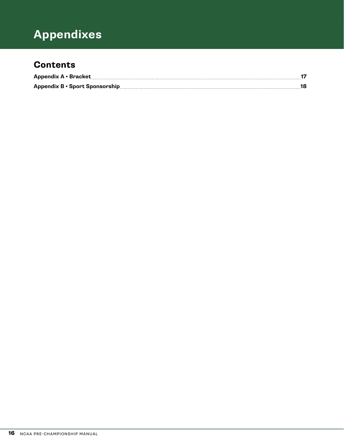# **Division ?? Sport Appendixes**

### **Contents**

| Appendix A · Bracket |                                |  |
|----------------------|--------------------------------|--|
|                      | Appendix B · Sport Sponsorship |  |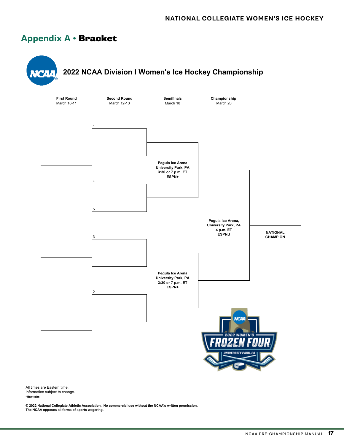### <span id="page-17-0"></span>**Appendix A •** Bracket



**\*Host site.** All times are Eastern time. Information subject to change.

**© 2022 National Collegiate Athletic Association. No commercial use without the NCAA's written permission. The NCAA opposes all forms of sports wagering.**